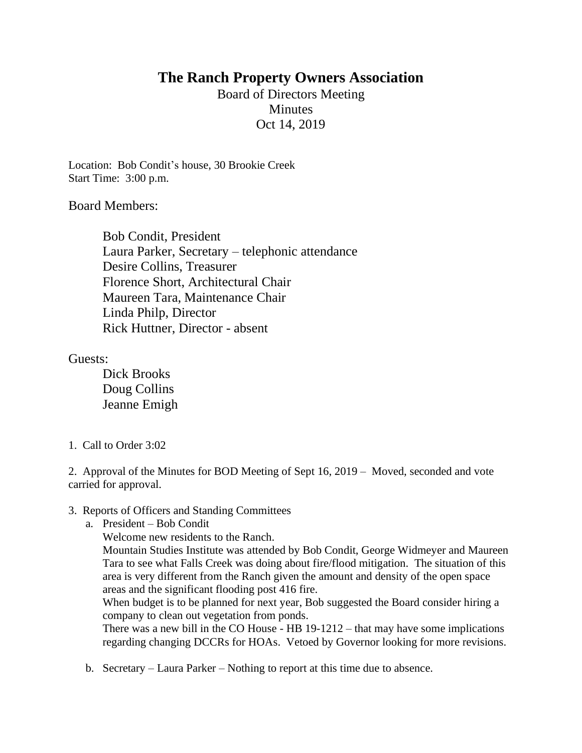# **The Ranch Property Owners Association**

Board of Directors Meeting **Minutes** Oct 14, 2019

Location: Bob Condit's house, 30 Brookie Creek Start Time: 3:00 p.m.

Board Members:

Bob Condit, President Laura Parker, Secretary – telephonic attendance Desire Collins, Treasurer Florence Short, Architectural Chair Maureen Tara, Maintenance Chair Linda Philp, Director Rick Huttner, Director - absent

Guests:

Dick Brooks Doug Collins Jeanne Emigh

1. Call to Order 3:02

2. Approval of the Minutes for BOD Meeting of Sept 16, 2019 – Moved, seconded and vote carried for approval.

## 3. Reports of Officers and Standing Committees

- a. President Bob Condit
	- Welcome new residents to the Ranch.

Mountain Studies Institute was attended by Bob Condit, George Widmeyer and Maureen Tara to see what Falls Creek was doing about fire/flood mitigation. The situation of this area is very different from the Ranch given the amount and density of the open space areas and the significant flooding post 416 fire.

When budget is to be planned for next year, Bob suggested the Board consider hiring a company to clean out vegetation from ponds.

There was a new bill in the CO House - HB 19-1212 – that may have some implications regarding changing DCCRs for HOAs. Vetoed by Governor looking for more revisions.

b. Secretary – Laura Parker – Nothing to report at this time due to absence.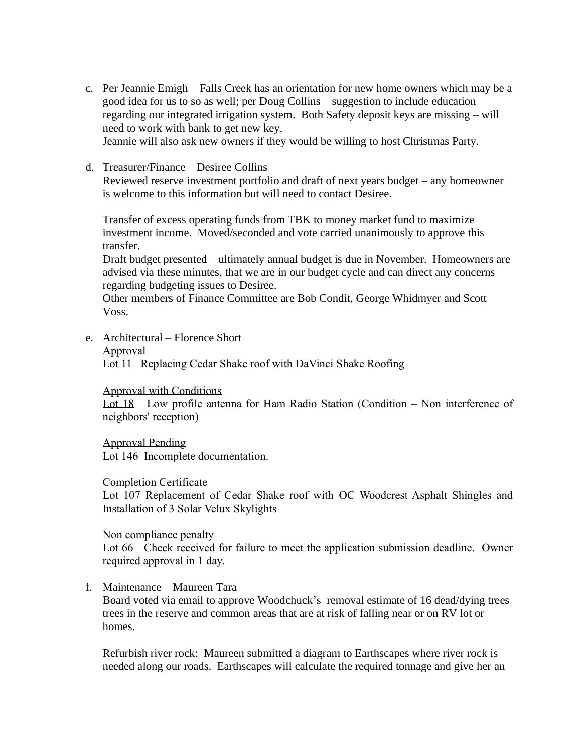c. Per Jeannie Emigh – Falls Creek has an orientation for new home owners which may be a good idea for us to so as well; per Doug Collins – suggestion to include education regarding our integrated irrigation system. Both Safety deposit keys are missing – will need to work with bank to get new key.

Jeannie will also ask new owners if they would be willing to host Christmas Party.

d. Treasurer/Finance – Desiree Collins

Reviewed reserve investment portfolio and draft of next years budget – any homeowner is welcome to this information but will need to contact Desiree.

Transfer of excess operating funds from TBK to money market fund to maximize investment income. Moved/seconded and vote carried unanimously to approve this transfer.

Draft budget presented – ultimately annual budget is due in November. Homeowners are advised via these minutes, that we are in our budget cycle and can direct any concerns regarding budgeting issues to Desiree.

Other members of Finance Committee are Bob Condit, George Whidmyer and Scott Voss.

e. Architectural – Florence Short

#### Approval

Lot 11 Replacing Cedar Shake roof with DaVinci Shake Roofing

#### Approval with Conditions

Lot 18 Low profile antenna for Ham Radio Station (Condition – Non interference of neighbors' reception)

Approval Pending Lot 146 Incomplete documentation.

#### Completion Certificate

Lot 107 Replacement of Cedar Shake roof with OC Woodcrest Asphalt Shingles and Installation of 3 Solar Velux Skylights

#### Non compliance penalty

Lot 66 Check received for failure to meet the application submission deadline. Owner required approval in 1 day.

## f. Maintenance – Maureen Tara

Board voted via email to approve Woodchuck's removal estimate of 16 dead/dying trees trees in the reserve and common areas that are at risk of falling near or on RV lot or homes.

Refurbish river rock: Maureen submitted a diagram to Earthscapes where river rock is needed along our roads. Earthscapes will calculate the required tonnage and give her an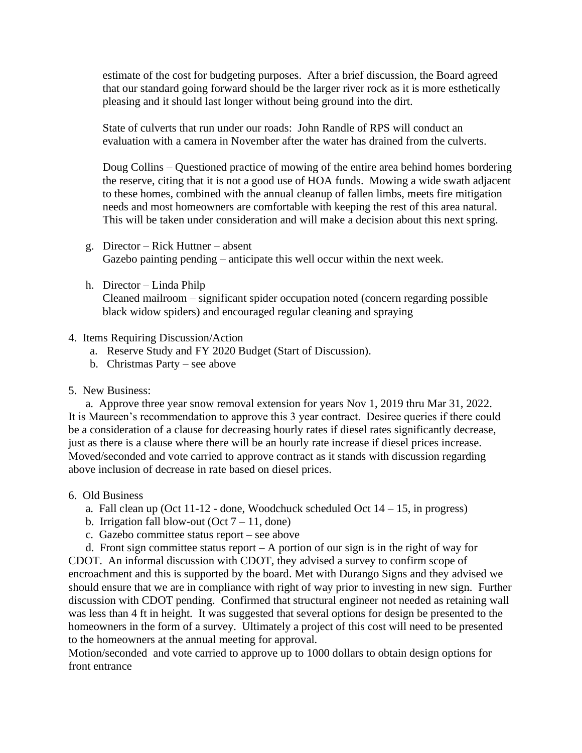estimate of the cost for budgeting purposes. After a brief discussion, the Board agreed that our standard going forward should be the larger river rock as it is more esthetically pleasing and it should last longer without being ground into the dirt.

State of culverts that run under our roads: John Randle of RPS will conduct an evaluation with a camera in November after the water has drained from the culverts.

Doug Collins – Questioned practice of mowing of the entire area behind homes bordering the reserve, citing that it is not a good use of HOA funds. Mowing a wide swath adjacent to these homes, combined with the annual cleanup of fallen limbs, meets fire mitigation needs and most homeowners are comfortable with keeping the rest of this area natural. This will be taken under consideration and will make a decision about this next spring.

- g. Director Rick Huttner absent Gazebo painting pending – anticipate this well occur within the next week.
- h. Director Linda Philp

Cleaned mailroom – significant spider occupation noted (concern regarding possible black widow spiders) and encouraged regular cleaning and spraying

### 4. Items Requiring Discussion/Action

- a. Reserve Study and FY 2020 Budget (Start of Discussion).
- b. Christmas Party see above

## 5. New Business:

 a. Approve three year snow removal extension for years Nov 1, 2019 thru Mar 31, 2022. It is Maureen's recommendation to approve this 3 year contract. Desiree queries if there could be a consideration of a clause for decreasing hourly rates if diesel rates significantly decrease, just as there is a clause where there will be an hourly rate increase if diesel prices increase. Moved/seconded and vote carried to approve contract as it stands with discussion regarding above inclusion of decrease in rate based on diesel prices.

#### 6. Old Business

- a. Fall clean up (Oct 11-12 done, Woodchuck scheduled Oct 14 15, in progress)
- b. Irrigation fall blow-out  $(Oct 7 11, done)$
- c. Gazebo committee status report see above

 d. Front sign committee status report – A portion of our sign is in the right of way for CDOT. An informal discussion with CDOT, they advised a survey to confirm scope of encroachment and this is supported by the board. Met with Durango Signs and they advised we should ensure that we are in compliance with right of way prior to investing in new sign. Further discussion with CDOT pending. Confirmed that structural engineer not needed as retaining wall was less than 4 ft in height. It was suggested that several options for design be presented to the homeowners in the form of a survey. Ultimately a project of this cost will need to be presented to the homeowners at the annual meeting for approval.

Motion/seconded and vote carried to approve up to 1000 dollars to obtain design options for front entrance